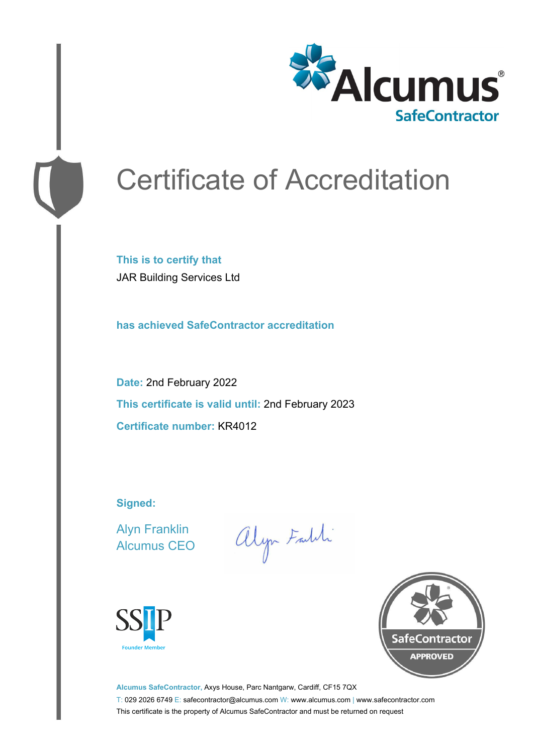

# Certificate of Accreditation

**This is to certify that** JAR Building Services Ltd

**has achieved SafeContractor accreditation**

**Date:** 2nd February 2022 **This certificate is valid until:** 2nd February 2023 **Certificate number:** KR4012

**Signed:**

Alyn Franklin Alcumus CEO

alyn Faith





**Alcumus SafeContractor,** Axys House, Parc Nantgarw, Cardiff, CF15 7QX T: 029 2026 6749 E: safecontractor@alcumus.com W: www.alcumus.com | www.safecontractor.com This certificate is the property of Alcumus SafeContractor and must be returned on request